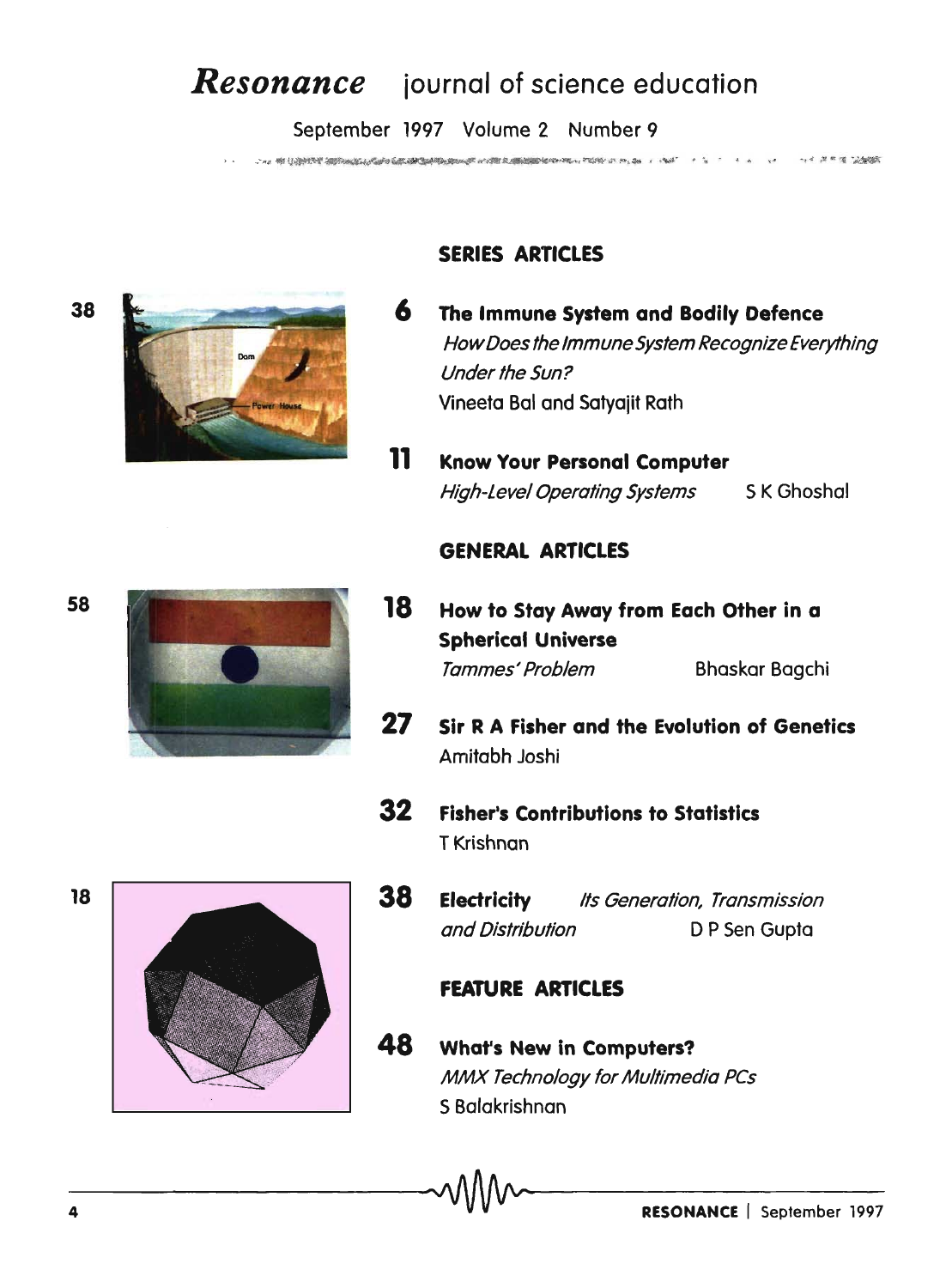# *Resonance* iournal of science education

September 1997 Volume 2 Number 9

Chan of Control approximation consideration of control and provided to the control of the second control of the -, 4 (8 m to 124/05)



58



# SERIES ARTICLES

- 6 The Immune System and Bodily Defence HowDoes the Immune System Recognize Everything Under the Sun? Vineeta Bal and Satyajit Rath
- 11 Know Your Personal Computer High-Level Operating Systems SK Ghoshal

### GENERAL ARTICLES

- 18 How to Stay Away from Each Other in a Spherical Universe Tammes' Problem Bhaskar Bagchi
- 27 Sir R A Fisher and the Evolution of Genetics Amitabh Joshi
- 32 Fisher's Contributions to Statistics T Krishnan
- **38 Electricity** Its Generation, Transmission and Distribution D P Sen Gupta

### FEATURE ARTICLES

48 What's New in Computers? MMX Technology for Multimedia PCs S Balakrishnan